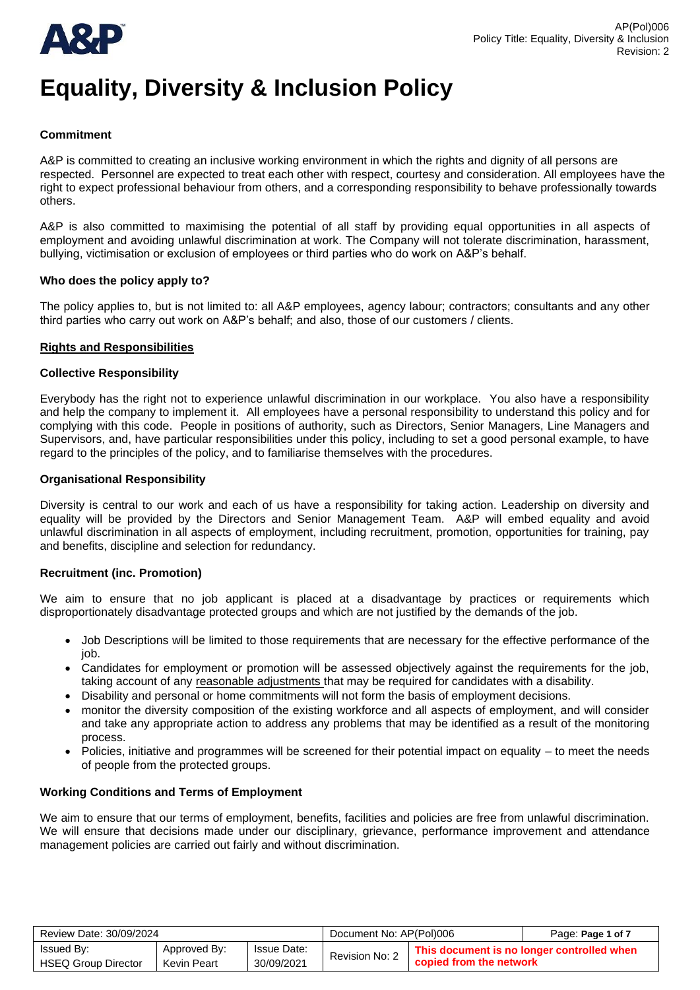

## **Commitment**

A&P is committed to creating an inclusive working environment in which the rights and dignity of all persons are respected. Personnel are expected to treat each other with respect, courtesy and consideration. All employees have the right to expect professional behaviour from others, and a corresponding responsibility to behave professionally towards others.

A&P is also committed to maximising the potential of all staff by providing equal opportunities in all aspects of employment and avoiding unlawful discrimination at work. The Company will not tolerate discrimination, harassment, bullying, victimisation or exclusion of employees or third parties who do work on A&P's behalf.

## **Who does the policy apply to?**

The policy applies to, but is not limited to: all A&P employees, agency labour; contractors; consultants and any other third parties who carry out work on A&P's behalf; and also, those of our customers / clients.

## **Rights and Responsibilities**

#### **Collective Responsibility**

Everybody has the right not to experience unlawful discrimination in our workplace. You also have a responsibility and help the company to implement it. All employees have a personal responsibility to understand this policy and for complying with this code. People in positions of authority, such as Directors, Senior Managers, Line Managers and Supervisors, and, have particular responsibilities under this policy, including to set a good personal example, to have regard to the principles of the policy, and to familiarise themselves with the procedures.

## **Organisational Responsibility**

Diversity is central to our work and each of us have a responsibility for taking action. Leadership on diversity and equality will be provided by the Directors and Senior Management Team. A&P will embed equality and avoid unlawful discrimination in all aspects of employment, including recruitment, promotion, opportunities for training, pay and benefits, discipline and selection for redundancy.

## **Recruitment (inc. Promotion)**

We aim to ensure that no job applicant is placed at a disadvantage by practices or requirements which disproportionately disadvantage protected groups and which are not justified by the demands of the job.

- Job Descriptions will be limited to those requirements that are necessary for the effective performance of the job.
- Candidates for employment or promotion will be assessed objectively against the requirements for the job, taking account of any reasonable adjustments that may be required for candidates with a disability.
- Disability and personal or home commitments will not form the basis of employment decisions.
- monitor the diversity composition of the existing workforce and all aspects of employment, and will consider and take any appropriate action to address any problems that may be identified as a result of the monitoring process.
- Policies, initiative and programmes will be screened for their potential impact on equality to meet the needs of people from the protected groups.

## **Working Conditions and Terms of Employment**

We aim to ensure that our terms of employment, benefits, facilities and policies are free from unlawful discrimination. We will ensure that decisions made under our disciplinary, grievance, performance improvement and attendance management policies are carried out fairly and without discrimination.

| Review Date: 30/09/2024    |              |             | Document No: AP(Pol)006 |                                            | Page: Page 1 of 7 |
|----------------------------|--------------|-------------|-------------------------|--------------------------------------------|-------------------|
| <b>Issued By:</b>          | Approved By: | Issue Date: | Revision No: 2          | This document is no longer controlled when |                   |
| <b>HSEQ Group Director</b> | Kevin Peart  | 30/09/2021  |                         | copied from the network                    |                   |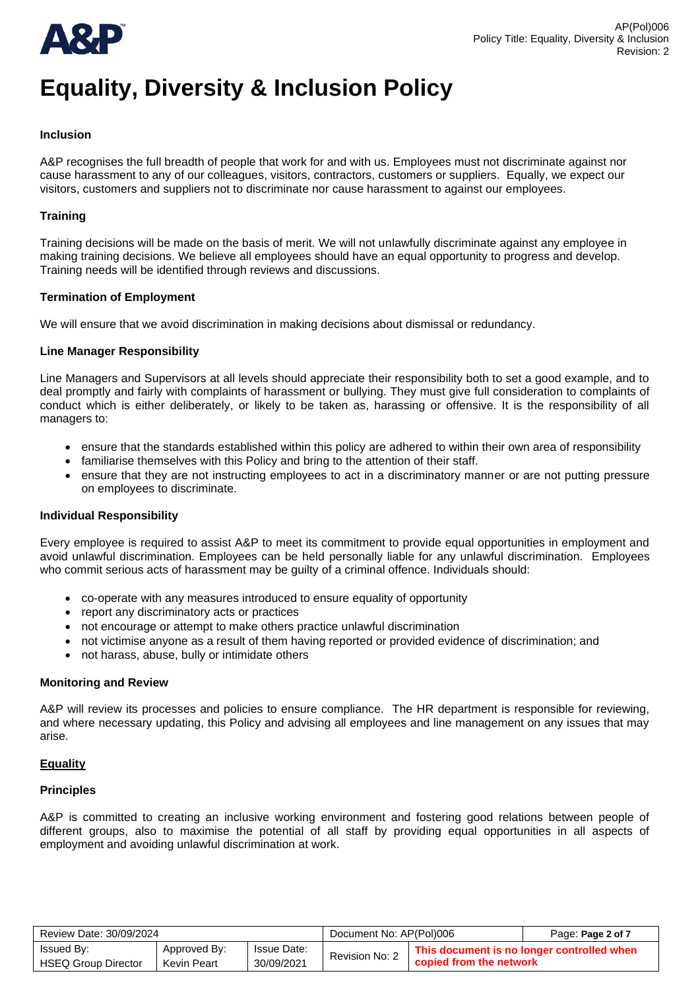

## **Inclusion**

A&P recognises the full breadth of people that work for and with us. Employees must not discriminate against nor cause harassment to any of our colleagues, visitors, contractors, customers or suppliers. Equally, we expect our visitors, customers and suppliers not to discriminate nor cause harassment to against our employees.

## **Training**

Training decisions will be made on the basis of merit. We will not unlawfully discriminate against any employee in making training decisions. We believe all employees should have an equal opportunity to progress and develop. Training needs will be identified through reviews and discussions.

## **Termination of Employment**

We will ensure that we avoid discrimination in making decisions about dismissal or redundancy.

## **Line Manager Responsibility**

Line Managers and Supervisors at all levels should appreciate their responsibility both to set a good example, and to deal promptly and fairly with complaints of harassment or bullying. They must give full consideration to complaints of conduct which is either deliberately, or likely to be taken as, harassing or offensive. It is the responsibility of all managers to:

- ensure that the standards established within this policy are adhered to within their own area of responsibility
- familiarise themselves with this Policy and bring to the attention of their staff.
- ensure that they are not instructing employees to act in a discriminatory manner or are not putting pressure on employees to discriminate.

## **Individual Responsibility**

Every employee is required to assist A&P to meet its commitment to provide equal opportunities in employment and avoid unlawful discrimination. Employees can be held personally liable for any unlawful discrimination. Employees who commit serious acts of harassment may be guilty of a criminal offence. Individuals should:

- co‐operate with any measures introduced to ensure equality of opportunity
- report any discriminatory acts or practices
- not encourage or attempt to make others practice unlawful discrimination
- not victimise anyone as a result of them having reported or provided evidence of discrimination; and
- not harass, abuse, bully or intimidate others

## **Monitoring and Review**

A&P will review its processes and policies to ensure compliance. The HR department is responsible for reviewing, and where necessary updating, this Policy and advising all employees and line management on any issues that may arise.

## **Equality**

## **Principles**

A&P is committed to creating an inclusive working environment and fostering good relations between people of different groups, also to maximise the potential of all staff by providing equal opportunities in all aspects of employment and avoiding unlawful discrimination at work.

| Review Date: 30/09/2024    |              |                    | Document No: AP(Pol)006 |                                            | Page: Page 2 of 7 |
|----------------------------|--------------|--------------------|-------------------------|--------------------------------------------|-------------------|
| <b>Issued By:</b>          | Approved By: | <b>Issue Date:</b> | Revision No: 2          | This document is no longer controlled when |                   |
| <b>HSEQ Group Director</b> | Kevin Peart  | 30/09/2021         |                         | copied from the network                    |                   |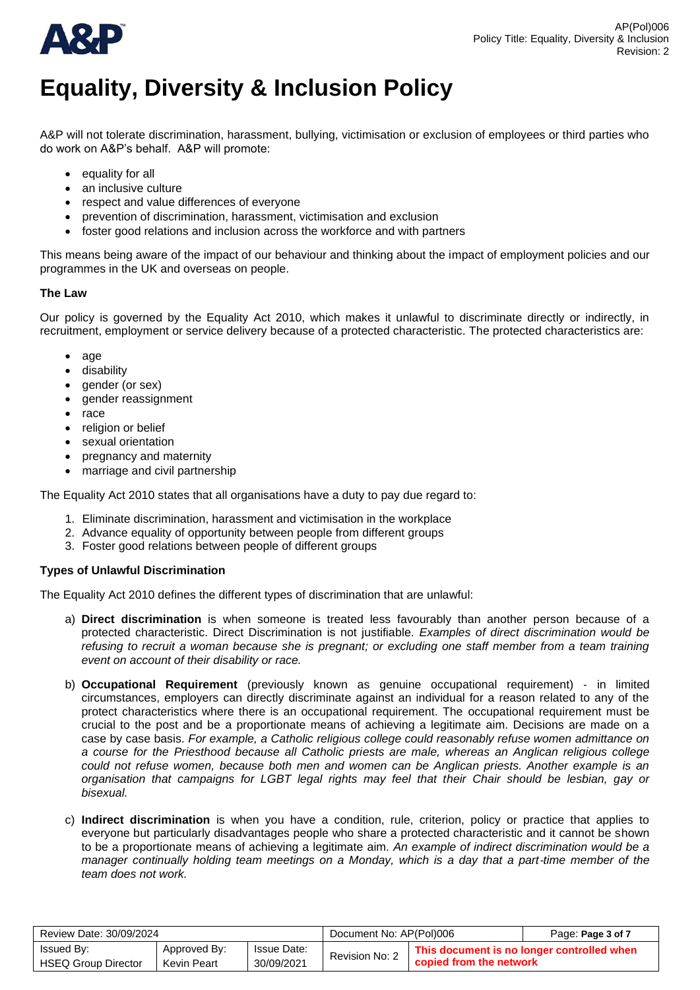

A&P will not tolerate discrimination, harassment, bullying, victimisation or exclusion of employees or third parties who do work on A&P's behalf. A&P will promote:

- equality for all
- an inclusive culture
- respect and value differences of everyone
- prevention of discrimination, harassment, victimisation and exclusion
- foster good relations and inclusion across the workforce and with partners

This means being aware of the impact of our behaviour and thinking about the impact of employment policies and our programmes in the UK and overseas on people.

# **The Law**

Our policy is governed by the Equality Act 2010, which makes it unlawful to discriminate directly or indirectly, in recruitment, employment or service delivery because of a protected characteristic. The protected characteristics are:

- age
- disability
- gender (or sex)
- gender reassignment
- race
- religion or belief
- sexual orientation
- pregnancy and maternity
- marriage and civil partnership

The Equality Act 2010 states that all organisations have a duty to pay due regard to:

- 1. Eliminate discrimination, harassment and victimisation in the workplace
- 2. Advance equality of opportunity between people from different groups
- 3. Foster good relations between people of different groups

# **Types of Unlawful Discrimination**

The Equality Act 2010 defines the different types of discrimination that are unlawful:

- a) **Direct discrimination** is when someone is treated less favourably than another person because of a protected characteristic. Direct Discrimination is not justifiable. *Examples of direct discrimination would be refusing to recruit a woman because she is pregnant; or excluding one staff member from a team training event on account of their disability or race.*
- b) **Occupational Requirement** (previously known as genuine occupational requirement) ‐ in limited circumstances, employers can directly discriminate against an individual for a reason related to any of the protect characteristics where there is an occupational requirement. The occupational requirement must be crucial to the post and be a proportionate means of achieving a legitimate aim. Decisions are made on a case by case basis. *For example, a Catholic religious college could reasonably refuse women admittance on a course for the Priesthood because all Catholic priests are male, whereas an Anglican religious college could not refuse women, because both men and women can be Anglican priests. Another example is an organisation that campaigns for LGBT legal rights may feel that their Chair should be lesbian, gay or bisexual.*
- c) **Indirect discrimination** is when you have a condition, rule, criterion, policy or practice that applies to everyone but particularly disadvantages people who share a protected characteristic and it cannot be shown to be a proportionate means of achieving a legitimate aim. *An example of indirect discrimination would be a manager continually holding team meetings on a Monday, which is a day that a part-time member of the team does not work.*

| Review Date: 30/09/2024                         |                             |                           | Document No: AP(Pol)006                                                                 |  | Page: Page 3 of 7 |
|-------------------------------------------------|-----------------------------|---------------------------|-----------------------------------------------------------------------------------------|--|-------------------|
| <b>Issued By:</b><br><b>HSEQ Group Director</b> | Approved By:<br>Kevin Peart | Issue Date:<br>30/09/2021 | This document is no longer controlled when<br>Revision No: 2<br>copied from the network |  |                   |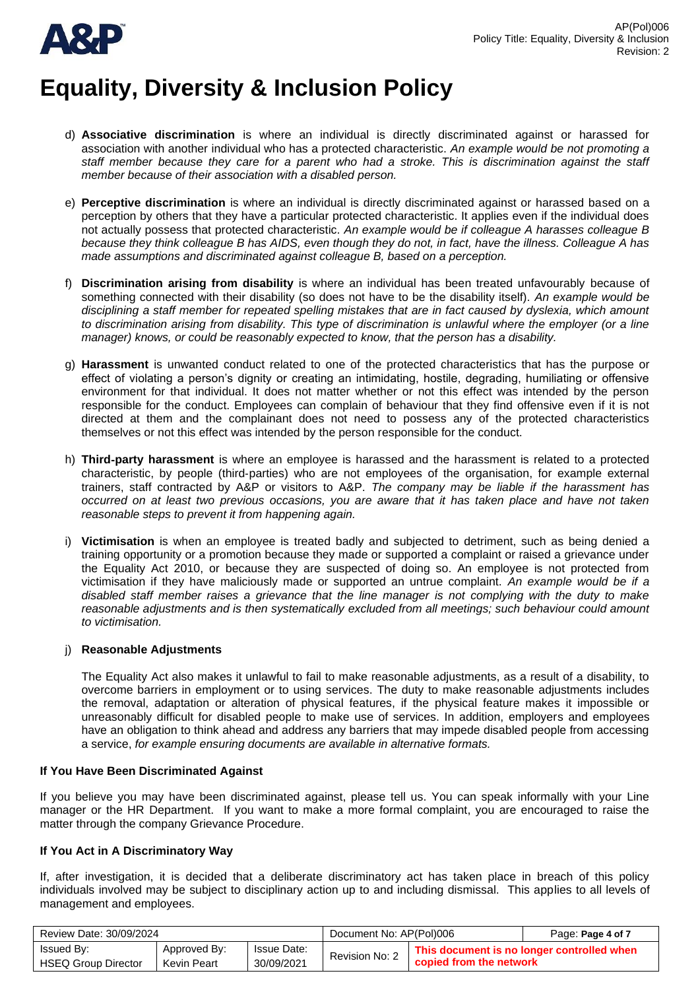

- d) **Associative discrimination** is where an individual is directly discriminated against or harassed for association with another individual who has a protected characteristic. *An example would be not promoting a staff member because they care for a parent who had a stroke. This is discrimination against the staff member because of their association with a disabled person.*
- e) **Perceptive discrimination** is where an individual is directly discriminated against or harassed based on a perception by others that they have a particular protected characteristic. It applies even if the individual does not actually possess that protected characteristic. *An example would be if colleague A harasses colleague B because they think colleague B has AIDS, even though they do not, in fact, have the illness. Colleague A has made assumptions and discriminated against colleague B, based on a perception.*
- f) **Discrimination arising from disability** is where an individual has been treated unfavourably because of something connected with their disability (so does not have to be the disability itself). *An example would be disciplining a staff member for repeated spelling mistakes that are in fact caused by dyslexia, which amount to discrimination arising from disability. This type of discrimination is unlawful where the employer (or a line manager) knows, or could be reasonably expected to know, that the person has a disability.*
- g) **Harassment** is unwanted conduct related to one of the protected characteristics that has the purpose or effect of violating a person's dignity or creating an intimidating, hostile, degrading, humiliating or offensive environment for that individual. It does not matter whether or not this effect was intended by the person responsible for the conduct. Employees can complain of behaviour that they find offensive even if it is not directed at them and the complainant does not need to possess any of the protected characteristics themselves or not this effect was intended by the person responsible for the conduct.
- h) **Third**‐**party harassment** is where an employee is harassed and the harassment is related to a protected characteristic, by people (third‐parties) who are not employees of the organisation, for example external trainers, staff contracted by A&P or visitors to A&P. *The company may be liable if the harassment has occurred on at least two previous occasions, you are aware that it has taken place and have not taken reasonable steps to prevent it from happening again.*
- i) **Victimisation** is when an employee is treated badly and subjected to detriment, such as being denied a training opportunity or a promotion because they made or supported a complaint or raised a grievance under the Equality Act 2010, or because they are suspected of doing so. An employee is not protected from victimisation if they have maliciously made or supported an untrue complaint. *An example would be if a disabled staff member raises a grievance that the line manager is not complying with the duty to make reasonable adjustments and is then systematically excluded from all meetings; such behaviour could amount to victimisation.*

# j) **Reasonable Adjustments**

The Equality Act also makes it unlawful to fail to make reasonable adjustments, as a result of a disability, to overcome barriers in employment or to using services. The duty to make reasonable adjustments includes the removal, adaptation or alteration of physical features, if the physical feature makes it impossible or unreasonably difficult for disabled people to make use of services. In addition, employers and employees have an obligation to think ahead and address any barriers that may impede disabled people from accessing a service, *for example ensuring documents are available in alternative formats.*

# **If You Have Been Discriminated Against**

If you believe you may have been discriminated against, please tell us. You can speak informally with your Line manager or the HR Department. If you want to make a more formal complaint, you are encouraged to raise the matter through the company Grievance Procedure.

# **If You Act in A Discriminatory Way**

If, after investigation, it is decided that a deliberate discriminatory act has taken place in breach of this policy individuals involved may be subject to disciplinary action up to and including dismissal. This applies to all levels of management and employees.

| Review Date: 30/09/2024                  |                                    |                                  | Document No: AP(Pol)006                                                                 |  | Page: Page 4 of 7 |
|------------------------------------------|------------------------------------|----------------------------------|-----------------------------------------------------------------------------------------|--|-------------------|
| Issued By:<br><b>HSEQ Group Director</b> | Approved By:<br><b>Kevin Peart</b> | <b>Issue Date:</b><br>30/09/2021 | This document is no longer controlled when<br>Revision No: 2<br>copied from the network |  |                   |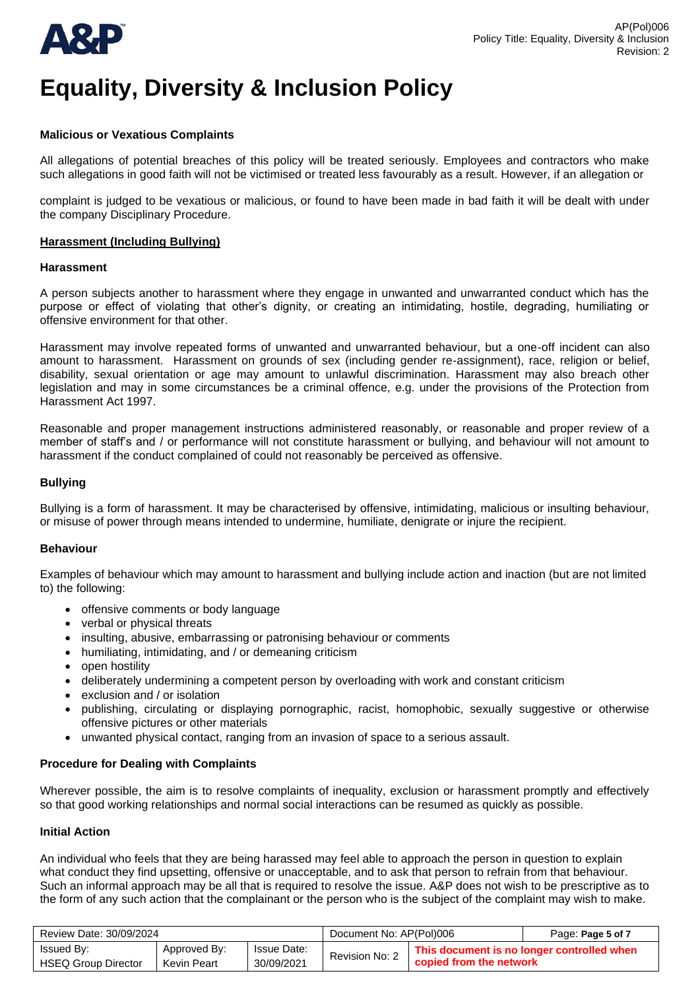



## **Malicious or Vexatious Complaints**

All allegations of potential breaches of this policy will be treated seriously. Employees and contractors who make such allegations in good faith will not be victimised or treated less favourably as a result. However, if an allegation or

complaint is judged to be vexatious or malicious, or found to have been made in bad faith it will be dealt with under the company Disciplinary Procedure.

## **Harassment (Including Bullying)**

#### **Harassment**

A person subjects another to harassment where they engage in unwanted and unwarranted conduct which has the purpose or effect of violating that other's dignity, or creating an intimidating, hostile, degrading, humiliating or offensive environment for that other.

Harassment may involve repeated forms of unwanted and unwarranted behaviour, but a one-off incident can also amount to harassment. Harassment on grounds of sex (including gender re-assignment), race, religion or belief, disability, sexual orientation or age may amount to unlawful discrimination. Harassment may also breach other legislation and may in some circumstances be a criminal offence, e.g. under the provisions of the Protection from Harassment Act 1997.

Reasonable and proper management instructions administered reasonably, or reasonable and proper review of a member of staff's and / or performance will not constitute harassment or bullying, and behaviour will not amount to harassment if the conduct complained of could not reasonably be perceived as offensive.

## **Bullying**

Bullying is a form of harassment. It may be characterised by offensive, intimidating, malicious or insulting behaviour, or misuse of power through means intended to undermine, humiliate, denigrate or injure the recipient.

## **Behaviour**

Examples of behaviour which may amount to harassment and bullying include action and inaction (but are not limited to) the following:

- offensive comments or body language
- verbal or physical threats
- insulting, abusive, embarrassing or patronising behaviour or comments
- humiliating, intimidating, and / or demeaning criticism
- open hostility
- deliberately undermining a competent person by overloading with work and constant criticism
- exclusion and / or isolation
- publishing, circulating or displaying pornographic, racist, homophobic, sexually suggestive or otherwise offensive pictures or other materials
- unwanted physical contact, ranging from an invasion of space to a serious assault.

## **Procedure for Dealing with Complaints**

Wherever possible, the aim is to resolve complaints of inequality, exclusion or harassment promptly and effectively so that good working relationships and normal social interactions can be resumed as quickly as possible.

## **Initial Action**

An individual who feels that they are being harassed may feel able to approach the person in question to explain what conduct they find upsetting, offensive or unacceptable, and to ask that person to refrain from that behaviour. Such an informal approach may be all that is required to resolve the issue. A&P does not wish to be prescriptive as to the form of any such action that the complainant or the person who is the subject of the complaint may wish to make.

| Review Date: 30/09/2024    |              |                    | Document No: AP(Pol)006 |                                            | Page: Page 5 of 7 |
|----------------------------|--------------|--------------------|-------------------------|--------------------------------------------|-------------------|
| Issued By:                 | Approved By: | <b>Issue Date:</b> | Revision No: 2          | This document is no longer controlled when |                   |
| <b>HSEQ Group Director</b> | Kevin Peart  | 30/09/2021         |                         | copied from the network                    |                   |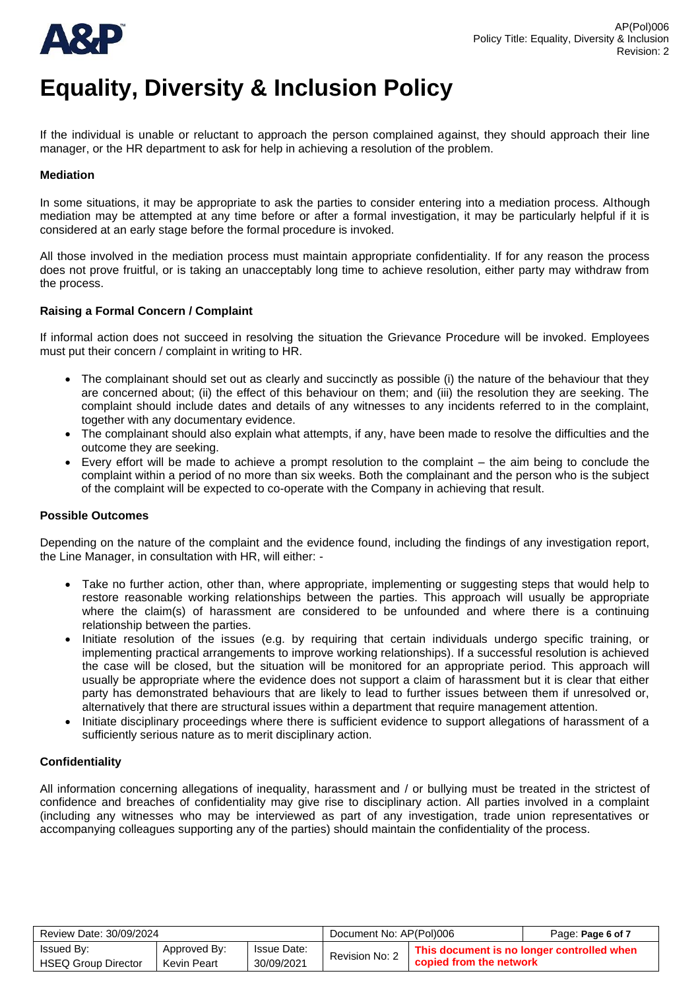

If the individual is unable or reluctant to approach the person complained against, they should approach their line manager, or the HR department to ask for help in achieving a resolution of the problem.

## **Mediation**

In some situations, it may be appropriate to ask the parties to consider entering into a mediation process. Although mediation may be attempted at any time before or after a formal investigation, it may be particularly helpful if it is considered at an early stage before the formal procedure is invoked.

All those involved in the mediation process must maintain appropriate confidentiality. If for any reason the process does not prove fruitful, or is taking an unacceptably long time to achieve resolution, either party may withdraw from the process.

## **Raising a Formal Concern / Complaint**

If informal action does not succeed in resolving the situation the Grievance Procedure will be invoked. Employees must put their concern / complaint in writing to HR.

- The complainant should set out as clearly and succinctly as possible (i) the nature of the behaviour that they are concerned about; (ii) the effect of this behaviour on them; and (iii) the resolution they are seeking. The complaint should include dates and details of any witnesses to any incidents referred to in the complaint, together with any documentary evidence.
- The complainant should also explain what attempts, if any, have been made to resolve the difficulties and the outcome they are seeking.
- Every effort will be made to achieve a prompt resolution to the complaint the aim being to conclude the complaint within a period of no more than six weeks. Both the complainant and the person who is the subject of the complaint will be expected to co-operate with the Company in achieving that result.

## **Possible Outcomes**

Depending on the nature of the complaint and the evidence found, including the findings of any investigation report, the Line Manager, in consultation with HR, will either: -

- Take no further action, other than, where appropriate, implementing or suggesting steps that would help to restore reasonable working relationships between the parties. This approach will usually be appropriate where the claim(s) of harassment are considered to be unfounded and where there is a continuing relationship between the parties.
- Initiate resolution of the issues (e.g. by requiring that certain individuals undergo specific training, or implementing practical arrangements to improve working relationships). If a successful resolution is achieved the case will be closed, but the situation will be monitored for an appropriate period. This approach will usually be appropriate where the evidence does not support a claim of harassment but it is clear that either party has demonstrated behaviours that are likely to lead to further issues between them if unresolved or, alternatively that there are structural issues within a department that require management attention.
- Initiate disciplinary proceedings where there is sufficient evidence to support allegations of harassment of a sufficiently serious nature as to merit disciplinary action.

## **Confidentiality**

All information concerning allegations of inequality, harassment and / or bullying must be treated in the strictest of confidence and breaches of confidentiality may give rise to disciplinary action. All parties involved in a complaint (including any witnesses who may be interviewed as part of any investigation, trade union representatives or accompanying colleagues supporting any of the parties) should maintain the confidentiality of the process.

| Review Date: 30/09/2024                  |                             |                                  | Document No: AP(Pol)006                                                                 |  | Page: Page 6 of 7 |
|------------------------------------------|-----------------------------|----------------------------------|-----------------------------------------------------------------------------------------|--|-------------------|
| Issued By:<br><b>HSEQ Group Director</b> | Approved By:<br>Kevin Peart | <b>Issue Date:</b><br>30/09/2021 | This document is no longer controlled when<br>Revision No: 2<br>copied from the network |  |                   |